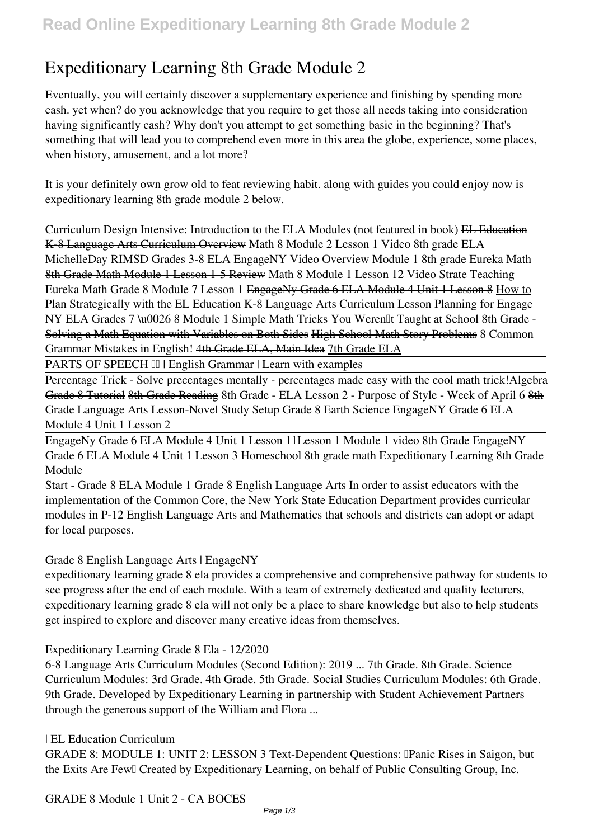# **Expeditionary Learning 8th Grade Module 2**

Eventually, you will certainly discover a supplementary experience and finishing by spending more cash. yet when? do you acknowledge that you require to get those all needs taking into consideration having significantly cash? Why don't you attempt to get something basic in the beginning? That's something that will lead you to comprehend even more in this area the globe, experience, some places, when history, amusement, and a lot more?

It is your definitely own grow old to feat reviewing habit. along with guides you could enjoy now is **expeditionary learning 8th grade module 2** below.

*Curriculum Design Intensive: Introduction to the ELA Modules (not featured in book)* EL Education K-8 Language Arts Curriculum Overview Math 8 Module 2 Lesson 1 Video 8th grade ELA MichelleDay *RIMSD Grades 3-8 ELA EngageNY Video Overview Module 1 8th grade Eureka Math* 8th Grade Math Module 1 Lesson 1-5 Review *Math 8 Module 1 Lesson 12 Video* **Strate Teaching Eureka Math Grade 8 Module 7 Lesson 1** EngageNy Grade 6 ELA Module 4 Unit 1 Lesson 8 How to Plan Strategically with the EL Education K-8 Language Arts Curriculum *Lesson Planning for Engage NY ELA Grades 7 \u0026 8 Module 1 Simple Math Tricks You Weren<sup>[1]</sup> Taught at School 8th Grade* Solving a Math Equation with Variables on Both Sides High School Math Story Problems 8 Common Grammar Mistakes in English! 4th Grade ELA, Main Idea 7th Grade ELA

PARTS OF SPEECH  $\text{III}$  | English Grammar | Learn with examples

Percentage Trick - Solve precentages mentally - percentages made easy with the cool math trick! Algebra Grade 8 Tutorial 8th Grade Reading 8th Grade - ELA Lesson 2 - Purpose of Style - Week of April 6 8th Grade Language Arts Lesson-Novel Study Setup Grade 8 Earth Science *EngageNY Grade 6 ELA Module 4 Unit 1 Lesson 2*

EngageNy Grade 6 ELA Module 4 Unit 1 Lesson 11*Lesson 1 Module 1 video 8th Grade EngageNY Grade 6 ELA Module 4 Unit 1 Lesson 3 Homeschool 8th grade math* Expeditionary Learning 8th Grade Module

Start - Grade 8 ELA Module 1 Grade 8 English Language Arts In order to assist educators with the implementation of the Common Core, the New York State Education Department provides curricular modules in P-12 English Language Arts and Mathematics that schools and districts can adopt or adapt for local purposes.

Grade 8 English Language Arts | EngageNY

expeditionary learning grade 8 ela provides a comprehensive and comprehensive pathway for students to see progress after the end of each module. With a team of extremely dedicated and quality lecturers, expeditionary learning grade 8 ela will not only be a place to share knowledge but also to help students get inspired to explore and discover many creative ideas from themselves.

Expeditionary Learning Grade 8 Ela - 12/2020

6-8 Language Arts Curriculum Modules (Second Edition): 2019 ... 7th Grade. 8th Grade. Science Curriculum Modules: 3rd Grade. 4th Grade. 5th Grade. Social Studies Curriculum Modules: 6th Grade. 9th Grade. Developed by Expeditionary Learning in partnership with Student Achievement Partners through the generous support of the William and Flora ...

| EL Education Curriculum

GRADE 8: MODULE 1: UNIT 2: LESSON 3 Text-Dependent Questions: IPanic Rises in Saigon, but the Exits Are Few Created by Expeditionary Learning, on behalf of Public Consulting Group, Inc.

GRADE 8 Module 1 Unit 2 - CA BOCES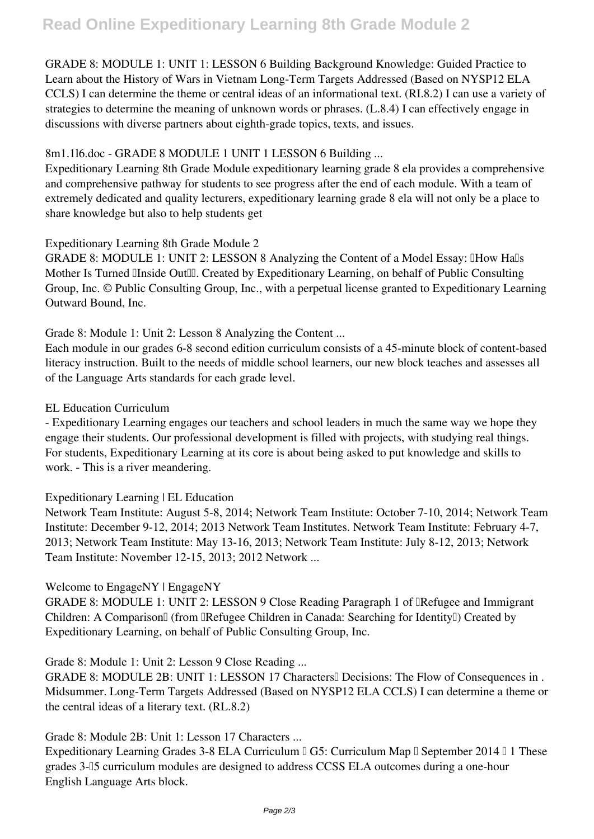GRADE 8: MODULE 1: UNIT 1: LESSON 6 Building Background Knowledge: Guided Practice to Learn about the History of Wars in Vietnam Long-Term Targets Addressed (Based on NYSP12 ELA CCLS) I can determine the theme or central ideas of an informational text. (RI.8.2) I can use a variety of strategies to determine the meaning of unknown words or phrases. (L.8.4) I can effectively engage in discussions with diverse partners about eighth-grade topics, texts, and issues.

## 8m1.1l6.doc - GRADE 8 MODULE 1 UNIT 1 LESSON 6 Building ...

Expeditionary Learning 8th Grade Module expeditionary learning grade 8 ela provides a comprehensive and comprehensive pathway for students to see progress after the end of each module. With a team of extremely dedicated and quality lecturers, expeditionary learning grade 8 ela will not only be a place to share knowledge but also to help students get

#### Expeditionary Learning 8th Grade Module 2

GRADE 8: MODULE 1: UNIT 2: LESSON 8 Analyzing the Content of a Model Essay: IHow Halls Mother Is Turned IInside OutIII. Created by Expeditionary Learning, on behalf of Public Consulting Group, Inc. © Public Consulting Group, Inc., with a perpetual license granted to Expeditionary Learning Outward Bound, Inc.

Grade 8: Module 1: Unit 2: Lesson 8 Analyzing the Content ...

Each module in our grades 6-8 second edition curriculum consists of a 45-minute block of content-based literacy instruction. Built to the needs of middle school learners, our new block teaches and assesses all of the Language Arts standards for each grade level.

#### EL Education Curriculum

- Expeditionary Learning engages our teachers and school leaders in much the same way we hope they engage their students. Our professional development is filled with projects, with studying real things. For students, Expeditionary Learning at its core is about being asked to put knowledge and skills to work. - This is a river meandering.

#### Expeditionary Learning | EL Education

Network Team Institute: August 5-8, 2014; Network Team Institute: October 7-10, 2014; Network Team Institute: December 9-12, 2014; 2013 Network Team Institutes. Network Team Institute: February 4-7, 2013; Network Team Institute: May 13-16, 2013; Network Team Institute: July 8-12, 2013; Network Team Institute: November 12-15, 2013; 2012 Network ...

#### Welcome to EngageNY | EngageNY

GRADE 8: MODULE 1: UNIT 2: LESSON 9 Close Reading Paragraph 1 of "Refugee and Immigrant Children: A Comparison<sup>[]</sup> (from **[Refugee Children** in Canada: Searching for Identity<sup>[]</sup>) Created by Expeditionary Learning, on behalf of Public Consulting Group, Inc.

### Grade 8: Module 1: Unit 2: Lesson 9 Close Reading ...

GRADE 8: MODULE 2B: UNIT 1: LESSON 17 Characters<sup>[]</sup> Decisions: The Flow of Consequences in. Midsummer. Long-Term Targets Addressed (Based on NYSP12 ELA CCLS) I can determine a theme or the central ideas of a literary text. (RL.8.2)

#### Grade 8: Module 2B: Unit 1: Lesson 17 Characters ...

Expeditionary Learning Grades 3-8 ELA Curriculum  $\parallel$  G5: Curriculum Map  $\parallel$  September 2014  $\parallel$  1 These grades 3-–5 curriculum modules are designed to address CCSS ELA outcomes during a one-hour English Language Arts block.